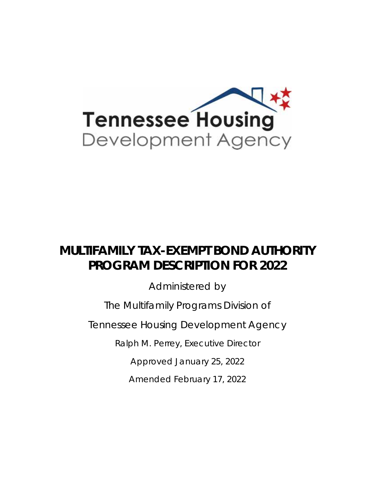

# **MULTIFAMILY TAX-EXEMPT BOND AUTHORITY PROGRAM DESCRIPTION FOR 2022**

Administered by

The Multifamily Programs Division of

Tennessee Housing Development Agency

Ralph M. Perrey, Executive Director

Approved January 25, 2022

Amended February 17, 2022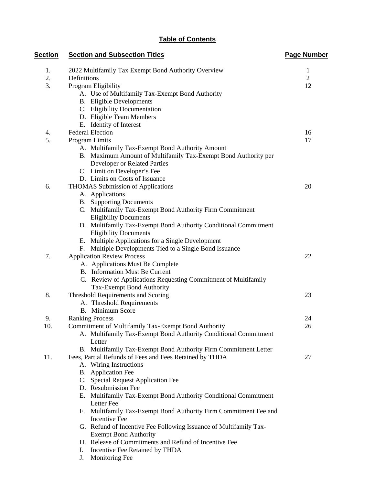# **Table of Contents**

| <b>Section</b> | <b>Section and Subsection Titles</b>                              | <b>Page Number</b> |
|----------------|-------------------------------------------------------------------|--------------------|
| 1.             | 2022 Multifamily Tax Exempt Bond Authority Overview               | $\mathbf{1}$       |
| 2.             | Definitions                                                       | $\overline{2}$     |
| 3.             | Program Eligibility                                               | 12                 |
|                | A. Use of Multifamily Tax-Exempt Bond Authority                   |                    |
|                | <b>B.</b> Eligible Developments                                   |                    |
|                | C. Eligibility Documentation                                      |                    |
|                | D. Eligible Team Members                                          |                    |
|                | E. Identity of Interest                                           |                    |
| 4.             | <b>Federal Election</b>                                           | 16                 |
| 5.             | Program Limits                                                    | 17                 |
|                | A. Multifamily Tax-Exempt Bond Authority Amount                   |                    |
|                | B. Maximum Amount of Multifamily Tax-Exempt Bond Authority per    |                    |
|                | Developer or Related Parties                                      |                    |
|                | C. Limit on Developer's Fee                                       |                    |
|                | D. Limits on Costs of Issuance                                    |                    |
| 6.             | THOMAS Submission of Applications                                 | 20                 |
|                | A. Applications                                                   |                    |
|                | <b>B.</b> Supporting Documents                                    |                    |
|                | C. Multifamily Tax-Exempt Bond Authority Firm Commitment          |                    |
|                | <b>Eligibility Documents</b>                                      |                    |
|                | D. Multifamily Tax-Exempt Bond Authority Conditional Commitment   |                    |
|                | <b>Eligibility Documents</b>                                      |                    |
|                | E. Multiple Applications for a Single Development                 |                    |
|                | F. Multiple Developments Tied to a Single Bond Issuance           |                    |
| 7.             | <b>Application Review Process</b>                                 | 22                 |
|                | A. Applications Must Be Complete                                  |                    |
|                | <b>B.</b> Information Must Be Current                             |                    |
|                | C. Review of Applications Requesting Commitment of Multifamily    |                    |
|                | Tax-Exempt Bond Authority                                         |                    |
| 8.             | Threshold Requirements and Scoring                                | 23                 |
|                | A. Threshold Requirements                                         |                    |
|                | <b>B.</b> Minimum Score                                           |                    |
| 9.             | <b>Ranking Process</b>                                            | 24                 |
| 10.            | Commitment of Multifamily Tax-Exempt Bond Authority               | 26                 |
|                | A. Multifamily Tax-Exempt Bond Authority Conditional Commitment   |                    |
|                | Letter                                                            |                    |
|                | B. Multifamily Tax-Exempt Bond Authority Firm Commitment Letter   |                    |
| 11.            | Fees, Partial Refunds of Fees and Fees Retained by THDA           | 27                 |
|                | A. Wiring Instructions                                            |                    |
|                | B. Application Fee                                                |                    |
|                | C. Special Request Application Fee                                |                    |
|                | D. Resubmission Fee                                               |                    |
|                | E. Multifamily Tax-Exempt Bond Authority Conditional Commitment   |                    |
|                | Letter Fee                                                        |                    |
|                | F. Multifamily Tax-Exempt Bond Authority Firm Commitment Fee and  |                    |
|                | <b>Incentive Fee</b>                                              |                    |
|                | G. Refund of Incentive Fee Following Issuance of Multifamily Tax- |                    |
|                | <b>Exempt Bond Authority</b>                                      |                    |
|                | H. Release of Commitments and Refund of Incentive Fee             |                    |
|                | Incentive Fee Retained by THDA<br>Ι.                              |                    |
|                | Monitoring Fee<br>J.                                              |                    |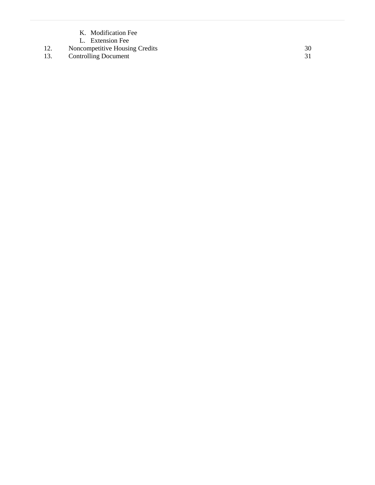- K. Modification Fee
- L. Extension Fee
- 12. Noncompetitive Housing Credits 30
- 13. Controlling Document 31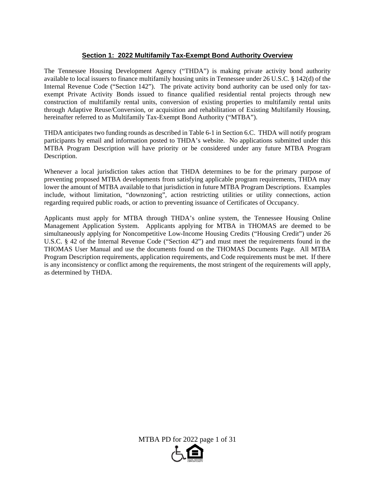## **Section 1: 2022 Multifamily Tax-Exempt Bond Authority Overview**

The Tennessee Housing Development Agency ("THDA") is making private activity bond authority available to local issuers to finance multifamily housing units in Tennessee under 26 U.S.C. § 142(d) of the Internal Revenue Code ("Section 142"). The private activity bond authority can be used only for taxexempt Private Activity Bonds issued to finance qualified residential rental projects through new construction of multifamily rental units, conversion of existing properties to multifamily rental units through Adaptive Reuse/Conversion, or acquisition and rehabilitation of Existing Multifamily Housing, hereinafter referred to as Multifamily Tax-Exempt Bond Authority ("MTBA").

THDA anticipates two funding rounds as described in Table 6-1 in Section 6.C. THDA will notify program participants by email and information posted to THDA's website. No applications submitted under this MTBA Program Description will have priority or be considered under any future MTBA Program Description.

Whenever a local jurisdiction takes action that THDA determines to be for the primary purpose of preventing proposed MTBA developments from satisfying applicable program requirements, THDA may lower the amount of MTBA available to that jurisdiction in future MTBA Program Descriptions. Examples include, without limitation, "downzoning", action restricting utilities or utility connections, action regarding required public roads, or action to preventing issuance of Certificates of Occupancy.

Applicants must apply for MTBA through THDA's online system, the Tennessee Housing Online Management Application System. Applicants applying for MTBA in THOMAS are deemed to be simultaneously applying for Noncompetitive Low-Income Housing Credits ("Housing Credit") under 26 U.S.C. § 42 of the Internal Revenue Code ("Section 42") and must meet the requirements found in the THOMAS User Manual and use the documents found on the THOMAS Documents Page. All MTBA Program Description requirements, application requirements, and Code requirements must be met. If there is any inconsistency or conflict among the requirements, the most stringent of the requirements will apply, as determined by THDA.

MTBA PD for 2022 page 1 of 31

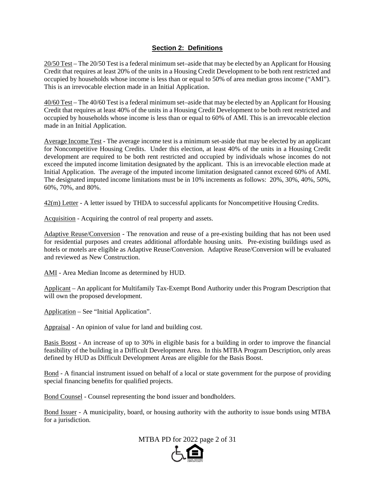## **Section 2: Definitions**

20/50 Test – The 20/50 Test is a federal minimum set–aside that may be elected by an Applicant for Housing Credit that requires at least 20% of the units in a Housing Credit Development to be both rent restricted and occupied by households whose income is less than or equal to 50% of area median gross income ("AMI"). This is an irrevocable election made in an Initial Application.

40/60 Test – The 40/60 Test is a federal minimum set–aside that may be elected by an Applicant for Housing Credit that requires at least 40% of the units in a Housing Credit Development to be both rent restricted and occupied by households whose income is less than or equal to 60% of AMI. This is an irrevocable election made in an Initial Application.

Average Income Test - The average income test is a minimum set-aside that may be elected by an applicant for Noncompetitive Housing Credits. Under this election, at least 40% of the units in a Housing Credit development are required to be both rent restricted and occupied by individuals whose incomes do not exceed the imputed income limitation designated by the applicant. This is an irrevocable election made at Initial Application. The average of the imputed income limitation designated cannot exceed 60% of AMI. The designated imputed income limitations must be in 10% increments as follows: 20%, 30%, 40%, 50%, 60%, 70%, and 80%.

42(m) Letter - A letter issued by THDA to successful applicants for Noncompetitive Housing Credits.

Acquisition - Acquiring the control of real property and assets.

Adaptive Reuse/Conversion - The renovation and reuse of a pre-existing building that has not been used for residential purposes and creates additional affordable housing units. Pre-existing buildings used as hotels or motels are eligible as Adaptive Reuse/Conversion. Adaptive Reuse/Conversion will be evaluated and reviewed as New Construction.

AMI - Area Median Income as determined by HUD.

Applicant – An applicant for Multifamily Tax-Exempt Bond Authority under this Program Description that will own the proposed development.

Application – See "Initial Application".

Appraisal - An opinion of value for land and building cost.

Basis Boost - An increase of up to 30% in eligible basis for a building in order to improve the financial feasibility of the building in a Difficult Development Area. In this MTBA Program Description, only areas defined by HUD as Difficult Development Areas are eligible for the Basis Boost.

Bond - A financial instrument issued on behalf of a local or state government for the purpose of providing special financing benefits for qualified projects.

Bond Counsel - Counsel representing the bond issuer and bondholders.

Bond Issuer - A municipality, board, or housing authority with the authority to issue bonds using MTBA for a jurisdiction.

MTBA PD for 2022 page 2 of 31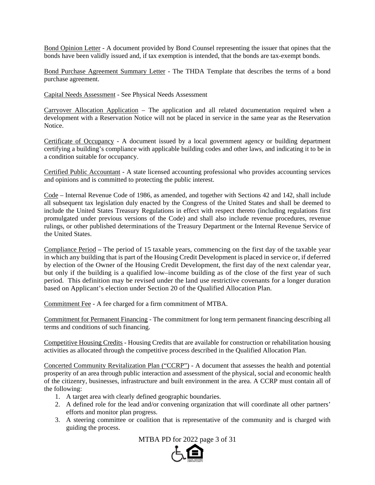Bond Opinion Letter - A document provided by Bond Counsel representing the issuer that opines that the bonds have been validly issued and, if tax exemption is intended, that the bonds are tax-exempt bonds.

Bond Purchase Agreement Summary Letter - The THDA Template that describes the terms of a bond purchase agreement.

Capital Needs Assessment - See Physical Needs Assessment

Carryover Allocation Application – The application and all related documentation required when a development with a Reservation Notice will not be placed in service in the same year as the Reservation Notice.

Certificate of Occupancy - A document issued by a local government agency or building department certifying a building's compliance with applicable building codes and other laws, and indicating it to be in a condition suitable for occupancy.

Certified Public Accountant - A state licensed accounting professional who provides accounting services and opinions and is committed to protecting the public interest.

Code – Internal Revenue Code of 1986, as amended, and together with Sections 42 and 142, shall include all subsequent tax legislation duly enacted by the Congress of the United States and shall be deemed to include the United States Treasury Regulations in effect with respect thereto (including regulations first promulgated under previous versions of the Code) and shall also include revenue procedures, revenue rulings, or other published determinations of the Treasury Department or the Internal Revenue Service of the United States.

Compliance Period **–** The period of 15 taxable years, commencing on the first day of the taxable year in which any building that is part of the Housing Credit Development is placed in service or, if deferred by election of the Owner of the Housing Credit Development, the first day of the next calendar year, but only if the building is a qualified low–income building as of the close of the first year of such period. This definition may be revised under the land use restrictive covenants for a longer duration based on Applicant's election under Section 20 of the Qualified Allocation Plan.

Commitment Fee - A fee charged for a firm commitment of MTBA.

Commitment for Permanent Financing - The commitment for long term permanent financing describing all terms and conditions of such financing.

Competitive Housing Credits - Housing Credits that are available for construction or rehabilitation housing activities as allocated through the competitive process described in the Qualified Allocation Plan.

Concerted Community Revitalization Plan ("CCRP") - A document that assesses the health and potential prosperity of an area through public interaction and assessment of the physical, social and economic health of the citizenry, businesses, infrastructure and built environment in the area. A CCRP must contain all of the following:

- 1. A target area with clearly defined geographic boundaries.
- 2. A defined role for the lead and/or convening organization that will coordinate all other partners' efforts and monitor plan progress.
- 3. A steering committee or coalition that is representative of the community and is charged with guiding the process.

MTBA PD for 2022 page 3 of 31

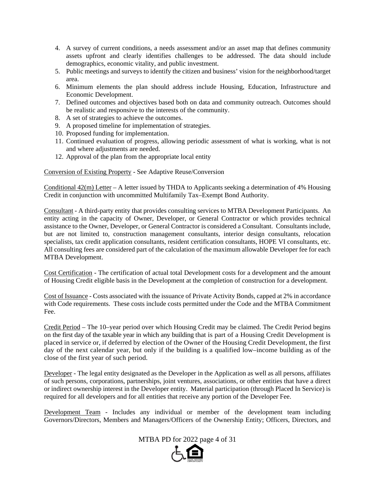- 4. A survey of current conditions, a needs assessment and/or an asset map that defines community assets upfront and clearly identifies challenges to be addressed. The data should include demographics, economic vitality, and public investment.
- 5. Public meetings and surveys to identify the citizen and business' vision for the neighborhood/target area.
- 6. Minimum elements the plan should address include Housing, Education, Infrastructure and Economic Development.
- 7. Defined outcomes and objectives based both on data and community outreach. Outcomes should be realistic and responsive to the interests of the community.
- 8. A set of strategies to achieve the outcomes.
- 9. A proposed timeline for implementation of strategies.
- 10. Proposed funding for implementation.
- 11. Continued evaluation of progress, allowing periodic assessment of what is working, what is not and where adjustments are needed.
- 12. Approval of the plan from the appropriate local entity

Conversion of Existing Property - See Adaptive Reuse/Conversion

Conditional  $42(m)$  Letter – A letter issued by THDA to Applicants seeking a determination of 4% Housing Credit in conjunction with uncommitted Multifamily Tax–Exempt Bond Authority.

Consultant - A third-party entity that provides consulting services to MTBA Development Participants. An entity acting in the capacity of Owner, Developer, or General Contractor or which provides technical assistance to the Owner, Developer, or General Contractor is considered a Consultant. Consultants include, but are not limited to, construction management consultants, interior design consultants, relocation specialists, tax credit application consultants, resident certification consultants, HOPE VI consultants, etc. All consulting fees are considered part of the calculation of the maximum allowable Developer fee for each MTBA Development.

Cost Certification - The certification of actual total Development costs for a development and the amount of Housing Credit eligible basis in the Development at the completion of construction for a development.

Cost of Issuance - Costs associated with the issuance of Private Activity Bonds, capped at 2% in accordance with Code requirements. These costs include costs permitted under the Code and the MTBA Commitment Fee.

Credit Period – The 10–year period over which Housing Credit may be claimed. The Credit Period begins on the first day of the taxable year in which any building that is part of a Housing Credit Development is placed in service or, if deferred by election of the Owner of the Housing Credit Development, the first day of the next calendar year, but only if the building is a qualified low–income building as of the close of the first year of such period.

Developer - The legal entity designated as the Developer in the Application as well as all persons, affiliates of such persons, corporations, partnerships, joint ventures, associations, or other entities that have a direct or indirect ownership interest in the Developer entity. Material participation (through Placed In Service) is required for all developers and for all entities that receive any portion of the Developer Fee.

Development Team - Includes any individual or member of the development team including Governors/Directors, Members and Managers/Officers of the Ownership Entity; Officers, Directors, and

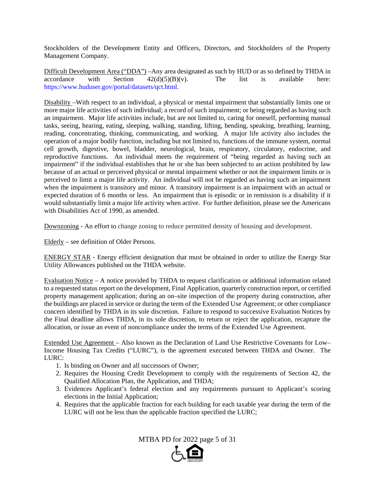Stockholders of the Development Entity and Officers, Directors, and Stockholders of the Property Management Company.

Difficult Development Area ("DDA") –Any area designated as such by HUD or as so defined by THDA in accordance with Section  $42(d)(5)(B)(v)$ . The list is available here: https://www.huduser.gov/portal/datasets/qct.html.

Disability –With respect to an individual, a physical or mental impairment that substantially limits one or more major life activities of such individual; a record of such impairment; or being regarded as having such an impairment. Major life activities include, but are not limited to, caring for oneself, performing manual tasks, seeing, hearing, eating, sleeping, walking, standing, lifting, bending, speaking, breathing, learning, reading, concentrating, thinking, communicating, and working. A major life activity also includes the operation of a major bodily function, including but not limited to, functions of the immune system, normal cell growth, digestive, bowel, bladder, neurological, brain, respiratory, circulatory, endocrine, and reproductive functions. An individual meets the requirement of "being regarded as having such an impairment" if the individual establishes that he or she has been subjected to an action prohibited by law because of an actual or perceived physical or mental impairment whether or not the impairment limits or is perceived to limit a major life activity. An individual will not be regarded as having such an impairment when the impairment is transitory and minor. A transitory impairment is an impairment with an actual or expected duration of 6 months or less. An impairment that is episodic or in remission is a disability if it would substantially limit a major life activity when active. For further definition, please see the Americans with Disabilities Act of 1990, as amended.

Downzoning - An effort to change zoning to reduce permitted density of housing and development.

Elderly – see definition of Older Persons.

ENERGY STAR - Energy efficient designation that must be obtained in order to utilize the Energy Star Utility Allowances published on the THDA website.

Evaluation Notice – A notice provided by THDA to request clarification or additional information related to a requested status report on the development, Final Application, quarterly construction report, or certified property management application; during an on–site inspection of the property during construction, after the buildings are placed in service or during the term of the Extended Use Agreement; or other compliance concern identified by THDA in its sole discretion. Failure to respond to successive Evaluation Notices by the Final deadline allows THDA, in its sole discretion, to return or reject the application, recapture the allocation, or issue an event of noncompliance under the terms of the Extended Use Agreement.

Extended Use Agreement – Also known as the Declaration of Land Use Restrictive Covenants for Low– Income Housing Tax Credits ("LURC"), is the agreement executed between THDA and Owner. The LURC:

- 1. Is binding on Owner and all successors of Owner;
- 2. Requires the Housing Credit Development to comply with the requirements of Section 42, the Qualified Allocation Plan, the Application, and THDA;
- 3. Evidences Applicant's federal election and any requirements pursuant to Applicant's scoring elections in the Initial Application;
- 4. Requires that the applicable fraction for each building for each taxable year during the term of the LURC will not be less than the applicable fraction specified the LURC;

MTBA PD for 2022 page 5 of 31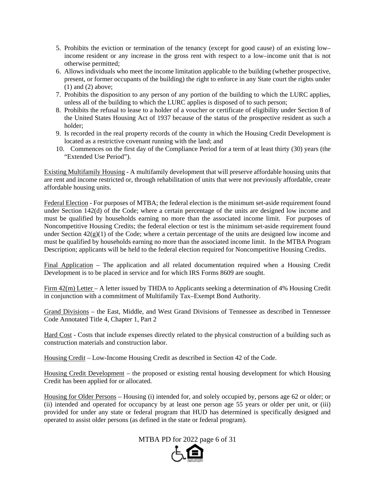- 5. Prohibits the eviction or termination of the tenancy (except for good cause) of an existing low– income resident or any increase in the gross rent with respect to a low–income unit that is not otherwise permitted;
- 6. Allows individuals who meet the income limitation applicable to the building (whether prospective, present, or former occupants of the building) the right to enforce in any State court the rights under (1) and (2) above;
- 7. Prohibits the disposition to any person of any portion of the building to which the LURC applies, unless all of the building to which the LURC applies is disposed of to such person;
- 8. Prohibits the refusal to lease to a holder of a voucher or certificate of eligibility under Section 8 of the United States Housing Act of 1937 because of the status of the prospective resident as such a holder;
- 9. Is recorded in the real property records of the county in which the Housing Credit Development is located as a restrictive covenant running with the land; and
- 10. Commences on the first day of the Compliance Period for a term of at least thirty (30) years (the "Extended Use Period").

Existing Multifamily Housing - A multifamily development that will preserve affordable housing units that are rent and income restricted or, through rehabilitation of units that were not previously affordable, create affordable housing units.

Federal Election - For purposes of MTBA; the federal election is the minimum set-aside requirement found under Section 142(d) of the Code; where a certain percentage of the units are designed low income and must be qualified by households earning no more than the associated income limit. For purposes of Noncompetitive Housing Credits; the federal election or test is the minimum set-aside requirement found under Section  $42(g)(1)$  of the Code; where a certain percentage of the units are designed low income and must be qualified by households earning no more than the associated income limit. In the MTBA Program Description; applicants will be held to the federal election required for Noncompetitive Housing Credits.

Final Application – The application and all related documentation required when a Housing Credit Development is to be placed in service and for which IRS Forms 8609 are sought.

Firm 42(m) Letter – A letter issued by THDA to Applicants seeking a determination of 4% Housing Credit in conjunction with a commitment of Multifamily Tax–Exempt Bond Authority.

Grand Divisions – the East, Middle, and West Grand Divisions of Tennessee as described in Tennessee Code Annotated Title 4, Chapter 1, Part 2

Hard Cost - Costs that include expenses directly related to the physical construction of a building such as construction materials and construction labor.

Housing Credit – Low-Income Housing Credit as described in Section 42 of the Code.

Housing Credit Development – the proposed or existing rental housing development for which Housing Credit has been applied for or allocated.

Housing for Older Persons – Housing (i) intended for, and solely occupied by, persons age 62 or older; or (ii) intended and operated for occupancy by at least one person age 55 years or older per unit, or (iii) provided for under any state or federal program that HUD has determined is specifically designed and operated to assist older persons (as defined in the state or federal program).

MTBA PD for 2022 page 6 of 31

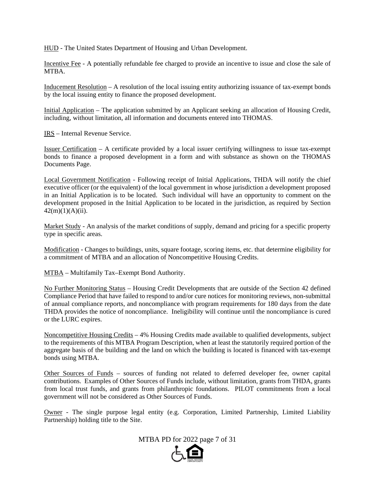HUD - The United States Department of Housing and Urban Development.

Incentive Fee - A potentially refundable fee charged to provide an incentive to issue and close the sale of MTBA.

Inducement Resolution – A resolution of the local issuing entity authorizing issuance of tax-exempt bonds by the local issuing entity to finance the proposed development.

Initial Application – The application submitted by an Applicant seeking an allocation of Housing Credit, including, without limitation, all information and documents entered into THOMAS.

IRS – Internal Revenue Service.

Issuer Certification – A certificate provided by a local issuer certifying willingness to issue tax-exempt bonds to finance a proposed development in a form and with substance as shown on the THOMAS Documents Page.

Local Government Notification - Following receipt of Initial Applications, THDA will notify the chief executive officer (or the equivalent) of the local government in whose jurisdiction a development proposed in an Initial Application is to be located. Such individual will have an opportunity to comment on the development proposed in the Initial Application to be located in the jurisdiction, as required by Section  $42(m)(1)(A)(ii)$ .

Market Study - An analysis of the market conditions of supply, demand and pricing for a specific property type in specific areas.

Modification - Changes to buildings, units, square footage, scoring items, etc. that determine eligibility for a commitment of MTBA and an allocation of Noncompetitive Housing Credits.

MTBA – Multifamily Tax–Exempt Bond Authority.

No Further Monitoring Status – Housing Credit Developments that are outside of the Section 42 defined Compliance Period that have failed to respond to and/or cure notices for monitoring reviews, non-submittal of annual compliance reports, and noncompliance with program requirements for 180 days from the date THDA provides the notice of noncompliance. Ineligibility will continue until the noncompliance is cured or the LURC expires.

Noncompetitive Housing Credits – 4% Housing Credits made available to qualified developments, subject to the requirements of this MTBA Program Description, when at least the statutorily required portion of the aggregate basis of the building and the land on which the building is located is financed with tax-exempt bonds using MTBA.

Other Sources of Funds – sources of funding not related to deferred developer fee, owner capital contributions. Examples of Other Sources of Funds include, without limitation, grants from THDA, grants from local trust funds, and grants from philanthropic foundations. PILOT commitments from a local government will not be considered as Other Sources of Funds.

Owner - The single purpose legal entity (e.g. Corporation, Limited Partnership, Limited Liability Partnership) holding title to the Site.

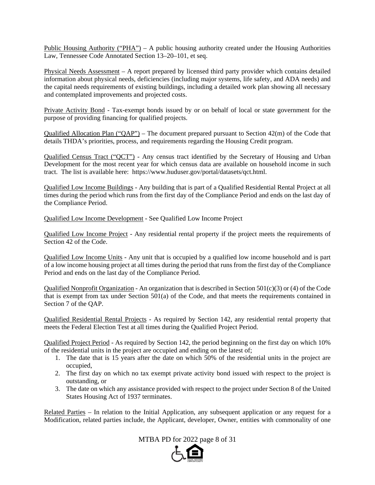Public Housing Authority ("PHA") – A public housing authority created under the Housing Authorities Law, Tennessee Code Annotated Section 13–20–101, et seq.

Physical Needs Assessment – A report prepared by licensed third party provider which contains detailed information about physical needs, deficiencies (including major systems, life safety, and ADA needs) and the capital needs requirements of existing buildings, including a detailed work plan showing all necessary and contemplated improvements and projected costs.

Private Activity Bond - Tax-exempt bonds issued by or on behalf of local or state government for the purpose of providing financing for qualified projects.

Qualified Allocation Plan ("QAP") – The document prepared pursuant to Section 42(m) of the Code that details THDA's priorities, process, and requirements regarding the Housing Credit program.

Qualified Census Tract ("QCT") - Any census tract identified by the Secretary of Housing and Urban Development for the most recent year for which census data are available on household income in such tract. The list is available here: https://www.huduser.gov/portal/datasets/qct.html.

Qualified Low Income Buildings - Any building that is part of a Qualified Residential Rental Project at all times during the period which runs from the first day of the Compliance Period and ends on the last day of the Compliance Period.

Qualified Low Income Development - See Qualified Low Income Project

Qualified Low Income Project - Any residential rental property if the project meets the requirements of Section 42 of the Code.

Qualified Low Income Units - Any unit that is occupied by a qualified low income household and is part of a low income housing project at all times during the period that runs from the first day of the Compliance Period and ends on the last day of the Compliance Period.

Qualified Nonprofit Organization - An organization that is described in Section 501(c)(3) or (4) of the Code that is exempt from tax under Section 501(a) of the Code, and that meets the requirements contained in Section 7 of the QAP.

Qualified Residential Rental Projects - As required by Section 142, any residential rental property that meets the Federal Election Test at all times during the Qualified Project Period.

Qualified Project Period - As required by Section 142, the period beginning on the first day on which 10% of the residential units in the project are occupied and ending on the latest of;

- 1. The date that is 15 years after the date on which 50% of the residential units in the project are occupied,
- 2. The first day on which no tax exempt private activity bond issued with respect to the project is outstanding, or
- 3. The date on which any assistance provided with respect to the project under Section 8 of the United States Housing Act of 1937 terminates.

Related Parties – In relation to the Initial Application, any subsequent application or any request for a Modification, related parties include, the Applicant, developer, Owner, entities with commonality of one

MTBA PD for 2022 page 8 of 31

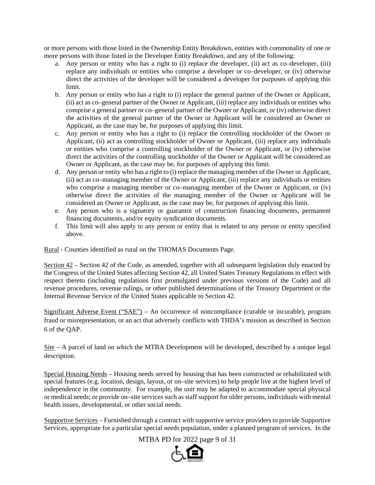or more persons with those listed in the Ownership Entity Breakdown, entities with commonality of one or more persons with those listed in the Developer Entity Breakdown, and any of the following:

- a. Any person or entity who has a right to (i) replace the developer, (ii) act as co–developer, (iii) replace any individuals or entities who comprise a developer or co–developer, or (iv) otherwise direct the activities of the developer will be considered a developer for purposes of applying this limit.
- b. Any person or entity who has a right to (i) replace the general partner of the Owner or Applicant, (ii) act as co–general partner of the Owner or Applicant, (iii) replace any individuals or entities who comprise a general partner or co–general partner of the Owner or Applicant, or (iv) otherwise direct the activities of the general partner of the Owner or Applicant will be considered an Owner or Applicant, as the case may be, for purposes of applying this limit.
- c. Any person or entity who has a right to (i) replace the controlling stockholder of the Owner or Applicant, (ii) act as controlling stockholder of Owner or Applicant, (iii) replace any individuals or entities who comprise a controlling stockholder of the Owner or Applicant, or (iv) otherwise direct the activities of the controlling stockholder of the Owner or Applicant will be considered an Owner or Applicant, as the case may be, for purposes of applying this limit.
- d. Any person or entity who has a right to (i) replace the managing member of the Owner or Applicant, (ii) act as co–managing member of the Owner or Applicant, (iii) replace any individuals or entities who comprise a managing member or co–managing member of the Owner or Applicant, or (iv) otherwise direct the activities of the managing member of the Owner or Applicant will be considered an Owner or Applicant, as the case may be, for purposes of applying this limit.
- e. Any person who is a signatory or guarantor of construction financing documents, permanent financing documents, and/or equity syndication documents.
- f. This limit will also apply to any person or entity that is related to any person or entity specified above.

Rural - Counties identified as rural on the THOMAS Documents Page.

Section 42 – Section 42 of the Code, as amended, together with all subsequent legislation duly enacted by the Congress of the United States affecting Section 42, all United States Treasury Regulations in effect with respect thereto (including regulations first promulgated under previous versions of the Code) and all revenue procedures, revenue rulings, or other published determinations of the Treasury Department or the Internal Revenue Service of the United States applicable to Section 42.

Significant Adverse Event ("SAE") – An occurrence of noncompliance (curable or incurable), program fraud or misrepresentation, or an act that adversely conflicts with THDA's mission as described in Section 6 of the QAP.

Site – A parcel of land on which the MTBA Development will be developed, described by a unique legal description.

Special Housing Needs – Housing needs served by housing that has been constructed or rehabilitated with special features (e.g. location, design, layout, or on–site services) to help people live at the highest level of independence in the community. For example, the unit may be adapted to accommodate special physical or medical needs; or provide on–site services such as staff support for older persons, individuals with mental health issues, developmental, or other social needs.

Supportive Services – Furnished through a contract with supportive service providers to provide Supportive Services, appropriate for a particular special needs population, under a planned program of services. In the

MTBA PD for 2022 page 9 of 31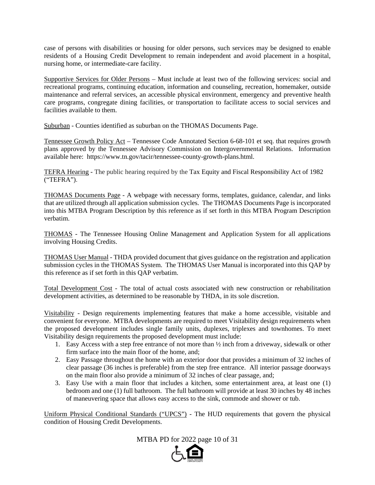case of persons with disabilities or housing for older persons, such services may be designed to enable residents of a Housing Credit Development to remain independent and avoid placement in a hospital, nursing home, or intermediate-care facility.

Supportive Services for Older Persons – Must include at least two of the following services: social and recreational programs, continuing education, information and counseling, recreation, homemaker, outside maintenance and referral services, an accessible physical environment, emergency and preventive health care programs, congregate dining facilities, or transportation to facilitate access to social services and facilities available to them.

Suburban - Counties identified as suburban on the THOMAS Documents Page.

Tennessee Growth Policy Act – Tennessee Code Annotated Section 6-68-101 et seq. that requires growth plans approved by the Tennessee Advisory Commission on Intergovernmental Relations. Information available here: https://www.tn.gov/tacir/tennessee-county-growth-plans.html.

TEFRA Hearing - The public hearing required by the Tax Equity and Fiscal Responsibility Act of 1982 ("TEFRA").

THOMAS Documents Page - A webpage with necessary forms, templates, guidance, calendar, and links that are utilized through all application submission cycles. The THOMAS Documents Page is incorporated into this MTBA Program Description by this reference as if set forth in this MTBA Program Description verbatim.

THOMAS - The Tennessee Housing Online Management and Application System for all applications involving Housing Credits.

THOMAS User Manual - THDA provided document that gives guidance on the registration and application submission cycles in the THOMAS System. The THOMAS User Manual is incorporated into this QAP by this reference as if set forth in this QAP verbatim.

Total Development Cost - The total of actual costs associated with new construction or rehabilitation development activities, as determined to be reasonable by THDA, in its sole discretion.

Visitability - Design requirements implementing features that make a home accessible, visitable and convenient for everyone. MTBA developments are required to meet Visitability design requirements when the proposed development includes single family units, duplexes, triplexes and townhomes. To meet Visitability design requirements the proposed development must include:

- 1. Easy Access with a step free entrance of not more than ½ inch from a driveway, sidewalk or other firm surface into the main floor of the home, and;
- 2. Easy Passage throughout the home with an exterior door that provides a minimum of 32 inches of clear passage (36 inches is preferable) from the step free entrance. All interior passage doorways on the main floor also provide a minimum of 32 inches of clear passage, and;
- 3. Easy Use with a main floor that includes a kitchen, some entertainment area, at least one (1) bedroom and one (1) full bathroom. The full bathroom will provide at least 30 inches by 48 inches of maneuvering space that allows easy access to the sink, commode and shower or tub.

Uniform Physical Conditional Standards ("UPCS") - The HUD requirements that govern the physical condition of Housing Credit Developments.

MTBA PD for 2022 page 10 of 31

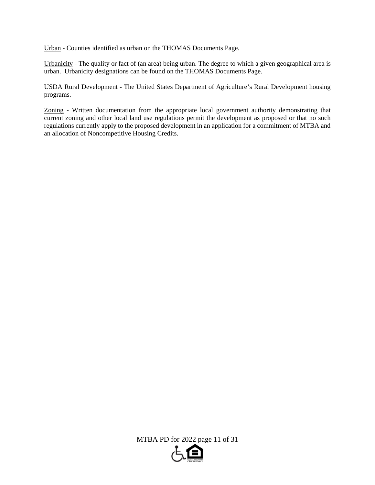Urban - Counties identified as urban on the THOMAS Documents Page.

Urbanicity - The quality or fact of (an area) being urban. The degree to which a given geographical area is urban. Urbanicity designations can be found on the THOMAS Documents Page.

USDA Rural Development - The United States Department of Agriculture's Rural Development housing programs.

Zoning - Written documentation from the appropriate local government authority demonstrating that current zoning and other local land use regulations permit the development as proposed or that no such regulations currently apply to the proposed development in an application for a commitment of MTBA and an allocation of Noncompetitive Housing Credits.

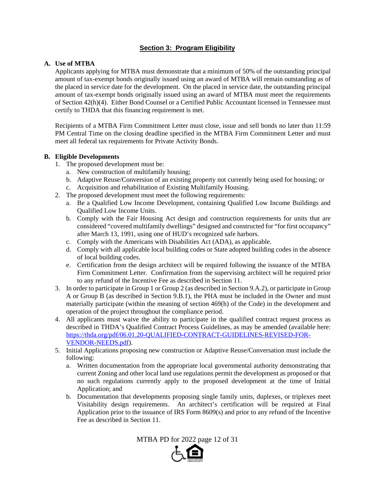## **Section 3: Program Eligibility**

## **A. Use of MTBA**

Applicants applying for MTBA must demonstrate that a minimum of 50% of the outstanding principal amount of tax-exempt bonds originally issued using an award of MTBA will remain outstanding as of the placed in service date for the development. On the placed in service date, the outstanding principal amount of tax-exempt bonds originally issued using an award of MTBA must meet the requirements of Section 42(h)(4). Either Bond Counsel or a Certified Public Accountant licensed in Tennessee must certify to THDA that this financing requirement is met.

Recipients of a MTBA Firm Commitment Letter must close, issue and sell bonds no later than 11:59 PM Central Time on the closing deadline specified in the MTBA Firm Commitment Letter and must meet all federal tax requirements for Private Activity Bonds.

## **B. Eligible Developments**

- 1. The proposed development must be:
	- a. New construction of multifamily housing;
	- b. Adaptive Reuse/Conversion of an existing property not currently being used for housing; or
	- c. Acquisition and rehabilitation of Existing Multifamily Housing.
- 2. The proposed development must meet the following requirements:
	- a. Be a Qualified Low Income Development, containing Qualified Low Income Buildings and Qualified Low Income Units.
	- b. Comply with the Fair Housing Act design and construction requirements for units that are considered "covered multifamily dwellings" designed and constructed for "for first occupancy" after March 13, 1991, using one of HUD's recognized safe harbors.
	- c. Comply with the Americans with Disabilities Act (ADA), as applicable.
	- d. Comply with all applicable local building codes or State adopted building codes in the absence of local building codes.
	- e. Certification from the design architect will be required following the issuance of the MTBA Firm Commitment Letter. Confirmation from the supervising architect will be required prior to any refund of the Incentive Fee as described in Section 11.
- 3. In order to participate in Group 1 or Group 2 (as described in Section 9.A.2), or participate in Group A or Group B (as described in Section 9.B.1), the PHA must be included in the Owner and must materially participate (within the meaning of section 469(h) of the Code) in the development and operation of the project throughout the compliance period.
- 4. All applicants must waive the ability to participate in the qualified contract request process as described in THDA's Qualified Contract Process Guidelines, as may be amended (available here: https://thda.org/pdf/06.01.20-QUALIFIED-CONTRACT-GUIDELINES-REVISED-FOR-VENDOR-NEEDS.pdf).
- 5. Initial Applications proposing new construction or Adaptive Reuse/Conversation must include the following:
	- a. Written documentation from the appropriate local governmental authority demonstrating that current Zoning and other local land use regulations permit the development as proposed or that no such regulations currently apply to the proposed development at the time of Initial Application; and
	- b. Documentation that developments proposing single family units, duplexes, or triplexes meet Visitability design requirements. An architect's certification will be required at Final Application prior to the issuance of IRS Form 8609(s) and prior to any refund of the Incentive Fee as described in Section 11.

MTBA PD for 2022 page 12 of 31

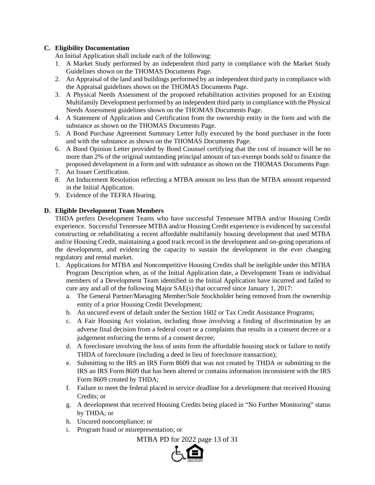## **C. Eligibility Documentation**

An Initial Application shall include each of the following:

- 1. A Market Study performed by an independent third party in compliance with the Market Study Guidelines shown on the THOMAS Documents Page.
- 2. An Appraisal of the land and buildings performed by an independent third party in compliance with the Appraisal guidelines shown on the THOMAS Documents Page.
- 3. A Physical Needs Assessment of the proposed rehabilitation activities proposed for an Existing Multifamily Development performed by an independent third party in compliance with the Physical Needs Assessment guidelines shown on the THOMAS Documents Page.
- 4. A Statement of Application and Certification from the ownership entity in the form and with the substance as shown on the THOMAS Documents Page.
- 5. A Bond Purchase Agreement Summary Letter fully executed by the bond purchaser in the form and with the substance as shown on the THOMAS Documents Page.
- 6. A Bond Opinion Letter provided by Bond Counsel certifying that the cost of issuance will be no more than 2% of the original outstanding principal amount of tax-exempt bonds sold to finance the proposed development in a form and with substance as shown on the THOMAS Documents Page.
- 7. An Issuer Certification.
- 8. An Inducement Resolution reflecting a MTBA amount no less than the MTBA amount requested in the Initial Application.
- 9. Evidence of the TEFRA Hearing.

## **D. Eligible Development Team Members**

THDA prefers Development Teams who have successful Tennessee MTBA and/or Housing Credit experience. Successful Tennessee MTBA and/or Housing Credit experience is evidenced by successful constructing or rehabilitating a recent affordable multifamily housing development that used MTBA and/or Housing Credit, maintaining a good track record in the development and on-going operations of the development, and evidencing the capacity to sustain the development in the ever changing regulatory and rental market.

- 1. Applications for MTBA and Noncompetitive Housing Credits shall be ineligible under this MTBA Program Description when, as of the Initial Application date, a Development Team or individual members of a Development Team identified in the Initial Application have incurred and failed to cure any and all of the following Major SAE(s) that occurred since January 1, 2017:
	- a. The General Partner/Managing Member/Sole Stockholder being removed from the ownership entity of a prior Housing Credit Development;
	- b. An uncured event of default under the Section 1602 or Tax Credit Assistance Programs;
	- c. A Fair Housing Act violation, including those involving a finding of discrimination by an adverse final decision from a federal court or a complaints that results in a consent decree or a judgement enforcing the terms of a consent decree;
	- d. A foreclosure involving the loss of units from the affordable housing stock or failure to notify THDA of foreclosure (including a deed in lieu of foreclosure transaction);
	- e. Submitting to the IRS an IRS Form 8609 that was not created by THDA or submitting to the IRS an IRS Form 8609 that has been altered or contains information inconsistent with the IRS Form 8609 created by THDA;
	- f. Failure to meet the federal placed in service deadline for a development that received Housing Credits; or
	- g. A development that received Housing Credits being placed in "No Further Monitoring" status by THDA; or
	- h. Uncured noncompliance; or
	- i. Program fraud or misrepresentation; or

MTBA PD for 2022 page 13 of 31

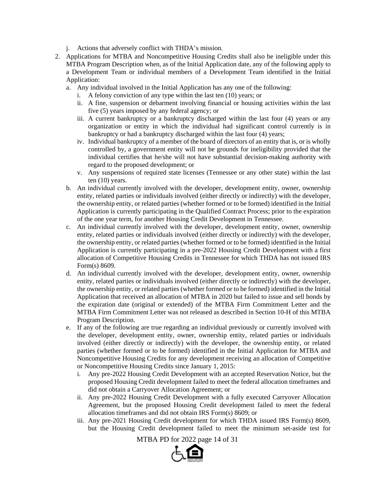- j. Actions that adversely conflict with THDA's mission.
- 2. Applications for MTBA and Noncompetitive Housing Credits shall also be ineligible under this MTBA Program Description when, as of the Initial Application date, any of the following apply to a Development Team or individual members of a Development Team identified in the Initial Application:
	- a. Any individual involved in the Initial Application has any one of the following:
		- i. A felony conviction of any type within the last ten (10) years; or
		- ii. A fine, suspension or debarment involving financial or housing activities within the last five (5) years imposed by any federal agency; or
		- iii. A current bankruptcy or a bankruptcy discharged within the last four (4) years or any organization or entity in which the individual had significant control currently is in bankruptcy or had a bankruptcy discharged within the last four (4) years;
		- iv. Individual bankruptcy of a member of the board of directors of an entity that is, or is wholly controlled by, a government entity will not be grounds for ineligibility provided that the individual certifies that he/she will not have substantial decision-making authority with regard to the proposed development; or
		- v. Any suspensions of required state licenses (Tennessee or any other state) within the last ten (10) years.
	- b. An individual currently involved with the developer, development entity, owner, ownership entity, related parties or individuals involved (either directly or indirectly) with the developer, the ownership entity, or related parties (whether formed or to be formed) identified in the Initial Application is currently participating in the Qualified Contract Process; prior to the expiration of the one year term, for another Housing Credit Development in Tennessee.
	- c. An individual currently involved with the developer, development entity, owner, ownership entity, related parties or individuals involved (either directly or indirectly) with the developer, the ownership entity, or related parties (whether formed or to be formed) identified in the Initial Application is currently participating in a pre-2022 Housing Credit Development with a first allocation of Competitive Housing Credits in Tennessee for which THDA has not issued IRS Form(s) 8609.
	- d. An individual currently involved with the developer, development entity, owner, ownership entity, related parties or individuals involved (either directly or indirectly) with the developer, the ownership entity, or related parties (whether formed or to be formed) identified in the Initial Application that received an allocation of MTBA in 2020 but failed to issue and sell bonds by the expiration date (original or extended) of the MTBA Firm Commitment Letter and the MTBA Firm Commitment Letter was not released as described in Section 10-H of this MTBA Program Description.
	- e. If any of the following are true regarding an individual previously or currently involved with the developer, development entity, owner, ownership entity, related parties or individuals involved (either directly or indirectly) with the developer, the ownership entity, or related parties (whether formed or to be formed) identified in the Initial Application for MTBA and Noncompetitive Housing Credits for any development receiving an allocation of Competitive or Noncompetitive Housing Credits since January 1, 2015:
		- i. Any pre-2022 Housing Credit Development with an accepted Reservation Notice, but the proposed Housing Credit development failed to meet the federal allocation timeframes and did not obtain a Carryover Allocation Agreement; or
		- ii. Any pre-2022 Housing Credit Development with a fully executed Carryover Allocation Agreement, but the proposed Housing Credit development failed to meet the federal allocation timeframes and did not obtain IRS Form(s) 8609; or
		- iii. Any pre-2021 Housing Credit development for which THDA issued IRS Form(s) 8609, but the Housing Credit development failed to meet the minimum set-aside test for

MTBA PD for 2022 page 14 of 31

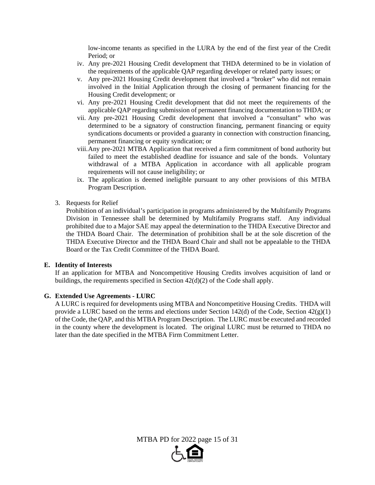low-income tenants as specified in the LURA by the end of the first year of the Credit Period; or

- iv. Any pre-2021 Housing Credit development that THDA determined to be in violation of the requirements of the applicable QAP regarding developer or related party issues; or
- v. Any pre-2021 Housing Credit development that involved a "broker" who did not remain involved in the Initial Application through the closing of permanent financing for the Housing Credit development; or
- vi. Any pre-2021 Housing Credit development that did not meet the requirements of the applicable QAP regarding submission of permanent financing documentation to THDA; or
- vii. Any pre-2021 Housing Credit development that involved a "consultant" who was determined to be a signatory of construction financing, permanent financing or equity syndications documents or provided a guaranty in connection with construction financing, permanent financing or equity syndication; or
- viii. Any pre-2021 MTBA Application that received a firm commitment of bond authority but failed to meet the established deadline for issuance and sale of the bonds. Voluntary withdrawal of a MTBA Application in accordance with all applicable program requirements will not cause ineligibility; or
- ix. The application is deemed ineligible pursuant to any other provisions of this MTBA Program Description.
- 3. Requests for Relief

Prohibition of an individual's participation in programs administered by the Multifamily Programs Division in Tennessee shall be determined by Multifamily Programs staff. Any individual prohibited due to a Major SAE may appeal the determination to the THDA Executive Director and the THDA Board Chair. The determination of prohibition shall be at the sole discretion of the THDA Executive Director and the THDA Board Chair and shall not be appealable to the THDA Board or the Tax Credit Committee of the THDA Board.

#### **E. Identity of Interests**

If an application for MTBA and Noncompetitive Housing Credits involves acquisition of land or buildings, the requirements specified in Section 42(d)(2) of the Code shall apply.

#### **G. Extended Use Agreements - LURC**

A LURC is required for developments using MTBA and Noncompetitive Housing Credits. THDA will provide a LURC based on the terms and elections under Section 142(d) of the Code, Section  $42(g)(1)$ of the Code, the QAP, and this MTBA Program Description. The LURC must be executed and recorded in the county where the development is located. The original LURC must be returned to THDA no later than the date specified in the MTBA Firm Commitment Letter.

MTBA PD for 2022 page 15 of 31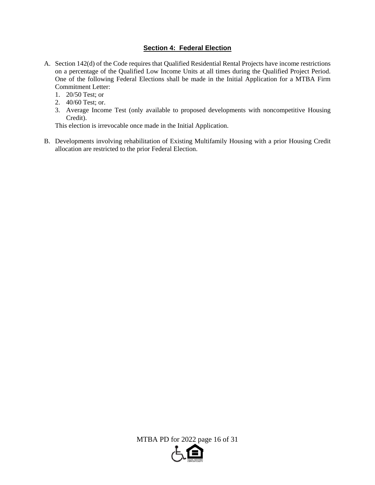## **Section 4: Federal Election**

- A. Section 142(d) of the Code requires that Qualified Residential Rental Projects have income restrictions on a percentage of the Qualified Low Income Units at all times during the Qualified Project Period. One of the following Federal Elections shall be made in the Initial Application for a MTBA Firm Commitment Letter:
	- 1. 20/50 Test; or
	- 2. 40/60 Test; or.
	- 3. Average Income Test (only available to proposed developments with noncompetitive Housing Credit).

This election is irrevocable once made in the Initial Application.

B. Developments involving rehabilitation of Existing Multifamily Housing with a prior Housing Credit allocation are restricted to the prior Federal Election.

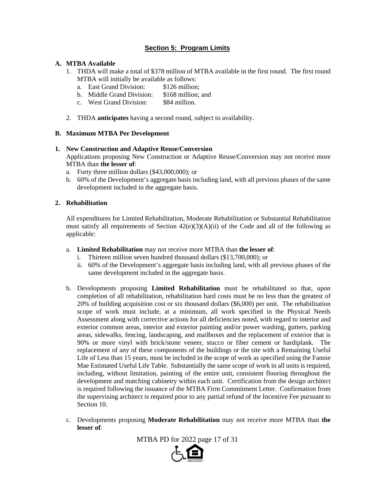## **Section 5: Program Limits**

## **A. MTBA Available**

- 1. THDA will make a total of \$378 million of MTBA available in the first round. The first round MTBA will initially be available as follows:
	- a. East Grand Division: \$126 million;
	- b. Middle Grand Division: \$168 million; and
	- c. West Grand Division: \$84 million.
- 2. THDA **anticipates** having a second round, subject to availability.

## **B. Maximum MTBA Per Development**

## **1. New Construction and Adaptive Reuse/Conversion**

Applications proposing New Construction or Adaptive Reuse/Conversion may not receive more MTBA than **the lesser of**:

- a. Forty three million dollars (\$43,000,000); or
- b. 60% of the Development's aggregate basis including land, with all previous phases of the same development included in the aggregate basis.

## **2. Rehabilitation**

All expenditures for Limited Rehabilitation, Moderate Rehabilitation or Substantial Rehabilitation must satisfy all requirements of Section  $42(e)(3)(A)(ii)$  of the Code and all of the following as applicable:

- a. **Limited Rehabilitation** may not receive more MTBA than **the lesser of**:
	- i. Thirteen million seven hundred thousand dollars (\$13,700,000); or
	- ii. 60% of the Development's aggregate basis including land, with all previous phases of the same development included in the aggregate basis.
- b. Developments proposing **Limited Rehabilitation** must be rehabilitated so that, upon completion of all rehabilitation, rehabilitation hard costs must be no less than the greatest of 20% of building acquisition cost or six thousand dollars (\$6,000) per unit. The rehabilitation scope of work must include, at a minimum, all work specified in the Physical Needs Assessment along with corrective actions for all deficiencies noted, with regard to interior and exterior common areas, interior and exterior painting and/or power washing, gutters, parking areas, sidewalks, fencing, landscaping, and mailboxes and the replacement of exterior that is 90% or more vinyl with brick/stone veneer, stucco or fiber cement or hardiplank. The replacement of any of these components of the buildings or the site with a Remaining Useful Life of Less than 15 years, must be included in the scope of work as specified using the Fannie Mae Estimated Useful Life Table. Substantially the same scope of work in all units is required, including, without limitation, painting of the entire unit, consistent flooring throughout the development and matching cabinetry within each unit. Certification from the design architect is required following the issuance of the MTBA Firm Commitment Letter. Confirmation from the supervising architect is required prior to any partial refund of the Incentive Fee pursuant to Section 10.
- c. Developments proposing **Moderate Rehabilitation** may not receive more MTBA than **the lesser of**:

MTBA PD for 2022 page 17 of 31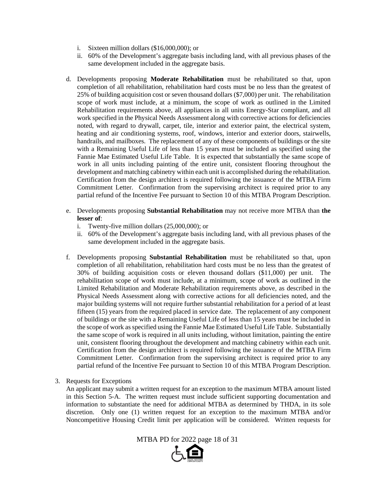- i. Sixteen million dollars (\$16,000,000); or
- ii. 60% of the Development's aggregate basis including land, with all previous phases of the same development included in the aggregate basis.
- d. Developments proposing **Moderate Rehabilitation** must be rehabilitated so that, upon completion of all rehabilitation, rehabilitation hard costs must be no less than the greatest of 25% of building acquisition cost or seven thousand dollars (\$7,000) per unit. The rehabilitation scope of work must include, at a minimum, the scope of work as outlined in the Limited Rehabilitation requirements above, all appliances in all units Energy-Star compliant, and all work specified in the Physical Needs Assessment along with corrective actions for deficiencies noted, with regard to drywall, carpet, tile, interior and exterior paint, the electrical system, heating and air conditioning systems, roof, windows, interior and exterior doors, stairwells, handrails, and mailboxes. The replacement of any of these components of buildings or the site with a Remaining Useful Life of less than 15 years must be included as specified using the Fannie Mae Estimated Useful Life Table. It is expected that substantially the same scope of work in all units including painting of the entire unit, consistent flooring throughout the development and matching cabinetry within each unit is accomplished during the rehabilitation. Certification from the design architect is required following the issuance of the MTBA Firm Commitment Letter. Confirmation from the supervising architect is required prior to any partial refund of the Incentive Fee pursuant to Section 10 of this MTBA Program Description.
- e. Developments proposing **Substantial Rehabilitation** may not receive more MTBA than **the lesser of**:
	- i. Twenty-five million dollars (25,000,000); or
	- ii. 60% of the Development's aggregate basis including land, with all previous phases of the same development included in the aggregate basis.
- f. Developments proposing **Substantial Rehabilitation** must be rehabilitated so that, upon completion of all rehabilitation, rehabilitation hard costs must be no less than the greatest of 30% of building acquisition costs or eleven thousand dollars (\$11,000) per unit. The rehabilitation scope of work must include, at a minimum, scope of work as outlined in the Limited Rehabilitation and Moderate Rehabilitation requirements above, as described in the Physical Needs Assessment along with corrective actions for all deficiencies noted, and the major building systems will not require further substantial rehabilitation for a period of at least fifteen (15) years from the required placed in service date. The replacement of any component of buildings or the site with a Remaining Useful Life of less than 15 years must be included in the scope of work as specified using the Fannie Mae Estimated Useful Life Table. Substantially the same scope of work is required in all units including, without limitation, painting the entire unit, consistent flooring throughout the development and matching cabinetry within each unit. Certification from the design architect is required following the issuance of the MTBA Firm Commitment Letter. Confirmation from the supervising architect is required prior to any partial refund of the Incentive Fee pursuant to Section 10 of this MTBA Program Description.
- 3. Requests for Exceptions

An applicant may submit a written request for an exception to the maximum MTBA amount listed in this Section 5-A. The written request must include sufficient supporting documentation and information to substantiate the need for additional MTBA as determined by THDA, in its sole discretion. Only one (1) written request for an exception to the maximum MTBA and/or Noncompetitive Housing Credit limit per application will be considered. Written requests for

MTBA PD for 2022 page 18 of 31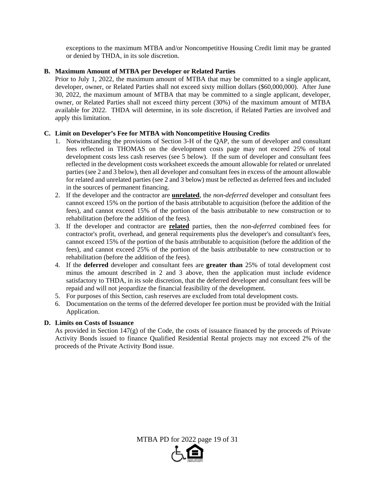exceptions to the maximum MTBA and/or Noncompetitive Housing Credit limit may be granted or denied by THDA, in its sole discretion.

## **B. Maximum Amount of MTBA per Developer or Related Parties**

Prior to July 1, 2022, the maximum amount of MTBA that may be committed to a single applicant, developer, owner, or Related Parties shall not exceed sixty million dollars (\$60,000,000). After June 30, 2022, the maximum amount of MTBA that may be committed to a single applicant, developer, owner, or Related Parties shall not exceed thirty percent (30%) of the maximum amount of MTBA available for 2022. THDA will determine, in its sole discretion, if Related Parties are involved and apply this limitation.

## **C. Limit on Developer's Fee for MTBA with Noncompetitive Housing Credits**

- 1. Notwithstanding the provisions of Section 3-H of the QAP, the sum of developer and consultant fees reflected in THOMAS on the development costs page may not exceed 25% of total development costs less cash reserves (see 5 below). If the sum of developer and consultant fees reflected in the development costs worksheet exceeds the amount allowable for related or unrelated parties (see 2 and 3 below), then all developer and consultant fees in excess of the amount allowable for related and unrelated parties (see 2 and 3 below) must be reflected as deferred fees and included in the sources of permanent financing.
- 2. If the developer and the contractor are **unrelated**, the *non-deferred* developer and consultant fees cannot exceed 15% on the portion of the basis attributable to acquisition (before the addition of the fees), and cannot exceed 15% of the portion of the basis attributable to new construction or to rehabilitation (before the addition of the fees).
- 3. If the developer and contractor are **related** parties, then the *non-deferred* combined fees for contractor's profit, overhead, and general requirements plus the developer's and consultant's fees, cannot exceed 15% of the portion of the basis attributable to acquisition (before the addition of the fees), and cannot exceed 25% of the portion of the basis attributable to new construction or to rehabilitation (before the addition of the fees).
- 4. If the **deferred** developer and consultant fees are **greater than** 25% of total development cost minus the amount described in 2 and 3 above, then the application must include evidence satisfactory to THDA, in its sole discretion, that the deferred developer and consultant fees will be repaid and will not jeopardize the financial feasibility of the development.
- 5. For purposes of this Section, cash reserves are excluded from total development costs.
- 6. Documentation on the terms of the deferred developer fee portion must be provided with the Initial Application.

## **D. Limits on Costs of Issuance**

As provided in Section 147(g) of the Code, the costs of issuance financed by the proceeds of Private Activity Bonds issued to finance Qualified Residential Rental projects may not exceed 2% of the proceeds of the Private Activity Bond issue.

MTBA PD for 2022 page 19 of 31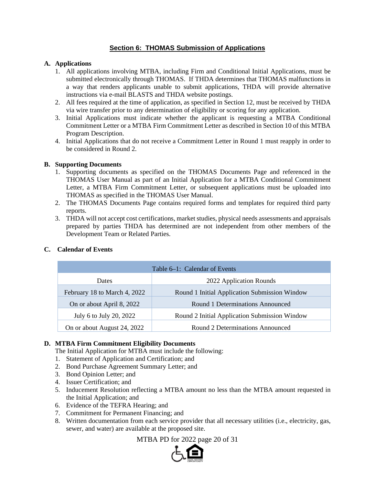## **Section 6: THOMAS Submission of Applications**

## **A. Applications**

- 1. All applications involving MTBA, including Firm and Conditional Initial Applications, must be submitted electronically through THOMAS. If THDA determines that THOMAS malfunctions in a way that renders applicants unable to submit applications, THDA will provide alternative instructions via e-mail BLASTS and THDA website postings.
- 2. All fees required at the time of application, as specified in Section 12, must be received by THDA via wire transfer prior to any determination of eligibility or scoring for any application.
- 3. Initial Applications must indicate whether the applicant is requesting a MTBA Conditional Commitment Letter or a MTBA Firm Commitment Letter as described in Section 10 of this MTBA Program Description.
- 4. Initial Applications that do not receive a Commitment Letter in Round 1 must reapply in order to be considered in Round 2.

## **B. Supporting Documents**

- 1. Supporting documents as specified on the THOMAS Documents Page and referenced in the THOMAS User Manual as part of an Initial Application for a MTBA Conditional Commitment Letter, a MTBA Firm Commitment Letter, or subsequent applications must be uploaded into THOMAS as specified in the THOMAS User Manual.
- 2. The THOMAS Documents Page contains required forms and templates for required third party reports.
- 3. THDA will not accept cost certifications, market studies, physical needs assessments and appraisals prepared by parties THDA has determined are not independent from other members of the Development Team or Related Parties.

| Table 6–1: Calendar of Events |                                               |  |  |  |  |
|-------------------------------|-----------------------------------------------|--|--|--|--|
| Dates                         | 2022 Application Rounds                       |  |  |  |  |
| February 18 to March 4, 2022  | Round 1 Initial Application Submission Window |  |  |  |  |
| On or about April 8, 2022     | Round 1 Determinations Announced              |  |  |  |  |
| July 6 to July 20, 2022       | Round 2 Initial Application Submission Window |  |  |  |  |
| On or about August 24, 2022   | Round 2 Determinations Announced              |  |  |  |  |

## **C. Calendar of Events**

## **D. MTBA Firm Commitment Eligibility Documents**

- The Initial Application for MTBA must include the following:
- 1. Statement of Application and Certification; and
- 2. Bond Purchase Agreement Summary Letter; and
- 3. Bond Opinion Letter; and
- 4. Issuer Certification; and
- 5. Inducement Resolution reflecting a MTBA amount no less than the MTBA amount requested in the Initial Application; and
- 6. Evidence of the TEFRA Hearing; and
- 7. Commitment for Permanent Financing; and
- 8. Written documentation from each service provider that all necessary utilities (i.e., electricity, gas, sewer, and water) are available at the proposed site.

MTBA PD for 2022 page 20 of 31

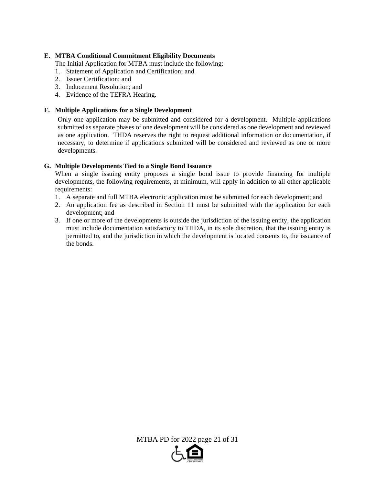## **E. MTBA Conditional Commitment Eligibility Documents**

The Initial Application for MTBA must include the following:

- 1. Statement of Application and Certification; and
- 2. Issuer Certification; and
- 3. Inducement Resolution; and
- 4. Evidence of the TEFRA Hearing.

## **F. Multiple Applications for a Single Development**

Only one application may be submitted and considered for a development. Multiple applications submitted as separate phases of one development will be considered as one development and reviewed as one application. THDA reserves the right to request additional information or documentation, if necessary, to determine if applications submitted will be considered and reviewed as one or more developments.

## **G. Multiple Developments Tied to a Single Bond Issuance**

When a single issuing entity proposes a single bond issue to provide financing for multiple developments, the following requirements, at minimum, will apply in addition to all other applicable requirements:

- 1. A separate and full MTBA electronic application must be submitted for each development; and
- 2. An application fee as described in Section 11 must be submitted with the application for each development; and
- 3. If one or more of the developments is outside the jurisdiction of the issuing entity, the application must include documentation satisfactory to THDA, in its sole discretion, that the issuing entity is permitted to, and the jurisdiction in which the development is located consents to, the issuance of the bonds.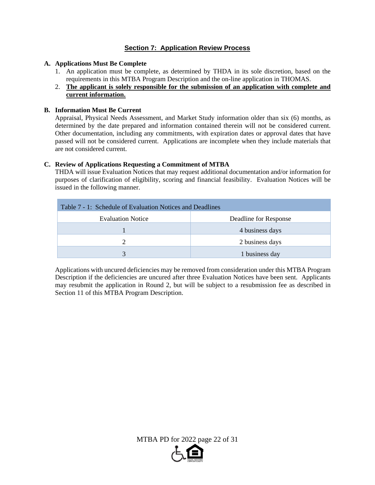## **Section 7: Application Review Process**

## **A. Applications Must Be Complete**

- 1. An application must be complete, as determined by THDA in its sole discretion, based on the requirements in this MTBA Program Description and the on-line application in THOMAS.
- 2. **The applicant is solely responsible for the submission of an application with complete and current information.**

## **B. Information Must Be Current**

Appraisal, Physical Needs Assessment, and Market Study information older than six (6) months, as determined by the date prepared and information contained therein will not be considered current. Other documentation, including any commitments, with expiration dates or approval dates that have passed will not be considered current. Applications are incomplete when they include materials that are not considered current.

## **C. Review of Applications Requesting a Commitment of MTBA**

THDA will issue Evaluation Notices that may request additional documentation and/or information for purposes of clarification of eligibility, scoring and financial feasibility. Evaluation Notices will be issued in the following manner.

| Table 7 - 1: Schedule of Evaluation Notices and Deadlines |                       |  |  |  |  |
|-----------------------------------------------------------|-----------------------|--|--|--|--|
| <b>Evaluation Notice</b>                                  | Deadline for Response |  |  |  |  |
|                                                           | 4 business days       |  |  |  |  |
|                                                           | 2 business days       |  |  |  |  |
| $\mathbf{R}$                                              | 1 business day        |  |  |  |  |

Applications with uncured deficiencies may be removed from consideration under this MTBA Program Description if the deficiencies are uncured after three Evaluation Notices have been sent. Applicants may resubmit the application in Round 2, but will be subject to a resubmission fee as described in Section 11 of this MTBA Program Description.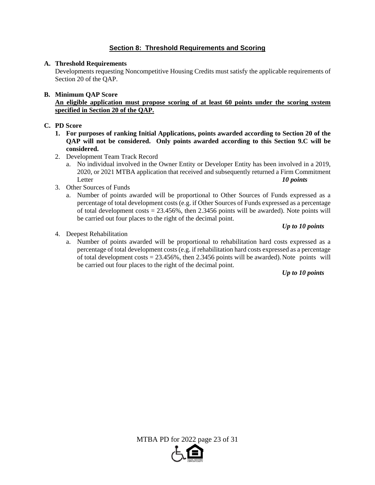## **Section 8: Threshold Requirements and Scoring**

## **A. Threshold Requirements**

Developments requesting Noncompetitive Housing Credits must satisfy the applicable requirements of Section 20 of the QAP.

## **B. Minimum QAP Score**

**An eligible application must propose scoring of at least 60 points under the scoring system specified in Section 20 of the QAP.** 

## **C. PD Score**

- **1. For purposes of ranking Initial Applications, points awarded according to Section 20 of the QAP will not be considered. Only points awarded according to this Section 9.C will be considered.**
- 2. Development Team Track Record
	- a. No individual involved in the Owner Entity or Developer Entity has been involved in a 2019, 2020, or 2021 MTBA application that received and subsequently returned a Firm Commitment Letter *10 points*
- 3. Other Sources of Funds
	- a. Number of points awarded will be proportional to Other Sources of Funds expressed as a percentage of total development costs (e.g. if Other Sources of Funds expressed as a percentage of total development costs  $= 23.456\%$ , then 2.3456 points will be awarded). Note points will be carried out four places to the right of the decimal point.

## *Up to 10 points*

- 4. Deepest Rehabilitation
	- a. Number of points awarded will be proportional to rehabilitation hard costs expressed as a percentage of total development costs (e.g. if rehabilitation hard costs expressed as a percentage of total development  $costs = 23.456\%$ , then 2.3456 points will be awarded). Note points will be carried out four places to the right of the decimal point.

*Up to 10 points*

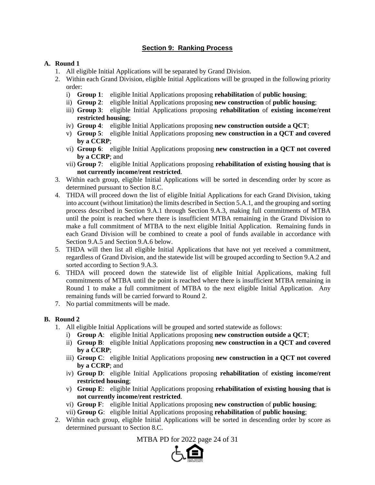## **Section 9: Ranking Process**

## **A. Round 1**

- 1. All eligible Initial Applications will be separated by Grand Division.
- 2. Within each Grand Division, eligible Initial Applications will be grouped in the following priority order:
	- i) **Group 1**: eligible Initial Applications proposing **rehabilitation** of **public housing**;
	- ii) **Group 2**: eligible Initial Applications proposing **new construction** of **public housing**;
	- iii) **Group 3**: eligible Initial Applications proposing **rehabilitation** of **existing income/rent restricted housing**;
	- iv) **Group 4**: eligible Initial Applications proposing **new construction outside a QCT**;
	- v) **Group 5**: eligible Initial Applications proposing **new construction in a QCT and covered by a CCRP**;
	- vi) **Group 6**: eligible Initial Applications proposing **new construction in a QCT not covered by a CCRP**; and
	- vii) **Group 7**: eligible Initial Applications proposing **rehabilitation of existing housing that is not currently income/rent restricted**.
- 3. Within each group, eligible Initial Applications will be sorted in descending order by score as determined pursuant to Section 8.C.
- 4. THDA will proceed down the list of eligible Initial Applications for each Grand Division, taking into account (without limitation) the limits described in Section 5.A.1, and the grouping and sorting process described in Section 9.A.1 through Section 9.A.3, making full commitments of MTBA until the point is reached where there is insufficient MTBA remaining in the Grand Division to make a full commitment of MTBA to the next eligible Initial Application. Remaining funds in each Grand Division will be combined to create a pool of funds available in accordance with Section 9.A.5 and Section 9.A.6 below.
- 5. THDA will then list all eligible Initial Applications that have not yet received a commitment, regardless of Grand Division, and the statewide list will be grouped according to Section 9.A.2 and sorted according to Section 9.A.3.
- 6. THDA will proceed down the statewide list of eligible Initial Applications, making full commitments of MTBA until the point is reached where there is insufficient MTBA remaining in Round 1 to make a full commitment of MTBA to the next eligible Initial Application. Any remaining funds will be carried forward to Round 2.
- 7. No partial commitments will be made.

## **B. Round 2**

- 1. All eligible Initial Applications will be grouped and sorted statewide as follows:
	- i) **Group A**: eligible Initial Applications proposing **new construction outside a QCT**;
	- ii) **Group B**: eligible Initial Applications proposing **new construction in a QCT and covered by a CCRP**;
	- iii) **Group C**: eligible Initial Applications proposing **new construction in a QCT not covered by a CCRP**; and
	- iv) **Group D**: eligible Initial Applications proposing **rehabilitation** of **existing income/rent restricted housing**;
	- v) **Group E**: eligible Initial Applications proposing **rehabilitation of existing housing that is not currently income/rent restricted**.
	- vi) **Group F**: eligible Initial Applications proposing **new construction** of **public housing**;
	- vii) **Group G**: eligible Initial Applications proposing **rehabilitation** of **public housing**;
- 2. Within each group, eligible Initial Applications will be sorted in descending order by score as determined pursuant to Section 8.C.

MTBA PD for 2022 page 24 of 31

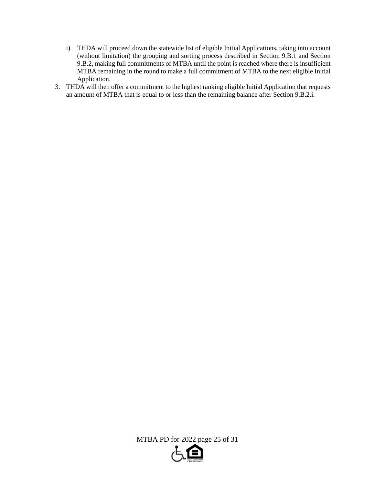- i) THDA will proceed down the statewide list of eligible Initial Applications, taking into account (without limitation) the grouping and sorting process described in Section 9.B.1 and Section 9.B.2, making full commitments of MTBA until the point is reached where there is insufficient MTBA remaining in the round to make a full commitment of MTBA to the next eligible Initial Application.
- 3. THDA will then offer a commitment to the highest ranking eligible Initial Application that requests an amount of MTBA that is equal to or less than the remaining balance after Section 9.B.2.i.

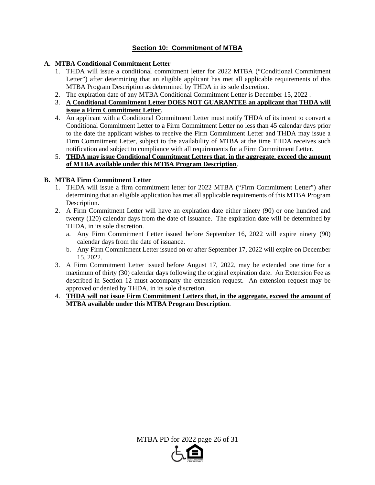## **Section 10: Commitment of MTBA**

## **A. MTBA Conditional Commitment Letter**

- 1. THDA will issue a conditional commitment letter for 2022 MTBA ("Conditional Commitment Letter") after determining that an eligible applicant has met all applicable requirements of this MTBA Program Description as determined by THDA in its sole discretion.
- 2. The expiration date of any MTBA Conditional Commitment Letter is December 15, 2022 .
- 3. **A Conditional Commitment Letter DOES NOT GUARANTEE an applicant that THDA will issue a Firm Commitment Letter**.
- 4. An applicant with a Conditional Commitment Letter must notify THDA of its intent to convert a Conditional Commitment Letter to a Firm Commitment Letter no less than 45 calendar days prior to the date the applicant wishes to receive the Firm Commitment Letter and THDA may issue a Firm Commitment Letter, subject to the availability of MTBA at the time THDA receives such notification and subject to compliance with all requirements for a Firm Commitment Letter.

## 5. **THDA may issue Conditional Commitment Letters that, in the aggregate, exceed the amount of MTBA available under this MTBA Program Description**.

## **B. MTBA Firm Commitment Letter**

- 1. THDA will issue a firm commitment letter for 2022 MTBA ("Firm Commitment Letter") after determining that an eligible application has met all applicable requirements of this MTBA Program Description.
- 2. A Firm Commitment Letter will have an expiration date either ninety (90) or one hundred and twenty (120) calendar days from the date of issuance. The expiration date will be determined by THDA, in its sole discretion.
	- a. Any Firm Commitment Letter issued before September 16, 2022 will expire ninety (90) calendar days from the date of issuance.
	- b. Any Firm Commitment Letter issued on or after September 17, 2022 will expire on December 15, 2022.
- 3. A Firm Commitment Letter issued before August 17, 2022, may be extended one time for a maximum of thirty (30) calendar days following the original expiration date. An Extension Fee as described in Section 12 must accompany the extension request. An extension request may be approved or denied by THDA, in its sole discretion.
- 4. **THDA will not issue Firm Commitment Letters that, in the aggregate, exceed the amount of MTBA available under this MTBA Program Description**.

MTBA PD for 2022 page 26 of 31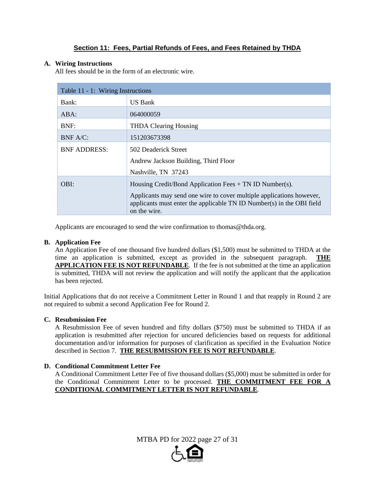## **Section 11: Fees, Partial Refunds of Fees, and Fees Retained by THDA**

## **A. Wiring Instructions**

All fees should be in the form of an electronic wire.

| Table 11 - 1: Wiring Instructions |                                                                                                                                                               |  |  |  |  |
|-----------------------------------|---------------------------------------------------------------------------------------------------------------------------------------------------------------|--|--|--|--|
| Bank:                             | <b>US Bank</b>                                                                                                                                                |  |  |  |  |
| $ABA$ :                           | 064000059                                                                                                                                                     |  |  |  |  |
| BNF:                              | <b>THDA Clearing Housing</b>                                                                                                                                  |  |  |  |  |
| BNF A/C:                          | 151203673398                                                                                                                                                  |  |  |  |  |
| <b>BNF ADDRESS:</b>               | 502 Deaderick Street                                                                                                                                          |  |  |  |  |
|                                   | Andrew Jackson Building, Third Floor                                                                                                                          |  |  |  |  |
|                                   | Nashville, TN 37243                                                                                                                                           |  |  |  |  |
| OBI:                              | Housing Credit/Bond Application Fees $+$ TN ID Number(s).                                                                                                     |  |  |  |  |
|                                   | Applicants may send one wire to cover multiple applications however,<br>applicants must enter the applicable TN ID Number(s) in the OBI field<br>on the wire. |  |  |  |  |

Applicants are encouraged to send the wire confirmation to thomas@thda.org.

## **B. Application Fee**

An Application Fee of one thousand five hundred dollars (\$1,500) must be submitted to THDA at the time an application is submitted, except as provided in the subsequent paragraph. **THE APPLICATION FEE IS NOT REFUNDABLE**. If the fee is not submitted at the time an application is submitted, THDA will not review the application and will notify the applicant that the application has been rejected.

Initial Applications that do not receive a Commitment Letter in Round 1 and that reapply in Round 2 are not required to submit a second Application Fee for Round 2.

## **C. Resubmission Fee**

A Resubmission Fee of seven hundred and fifty dollars (\$750) must be submitted to THDA if an application is resubmitted after rejection for uncured deficiencies based on requests for additional documentation and/or information for purposes of clarification as specified in the Evaluation Notice described in Section 7. **THE RESUBMISSION FEE IS NOT REFUNDABLE**.

## **D. Conditional Commitment Letter Fee**

A Conditional Commitment Letter Fee of five thousand dollars (\$5,000) must be submitted in order for the Conditional Commitment Letter to be processed. **THE COMMITMENT FEE FOR A CONDITIONAL COMMITMENT LETTER IS NOT REFUNDABLE**.

MTBA PD for 2022 page 27 of 31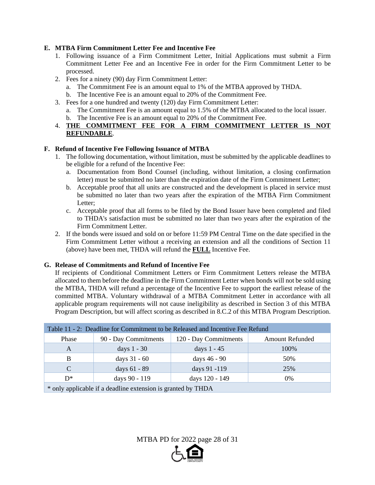## **E. MTBA Firm Commitment Letter Fee and Incentive Fee**

- 1. Following issuance of a Firm Commitment Letter, Initial Applications must submit a Firm Commitment Letter Fee and an Incentive Fee in order for the Firm Commitment Letter to be processed.
- 2. Fees for a ninety (90) day Firm Commitment Letter:
	- a. The Commitment Fee is an amount equal to 1% of the MTBA approved by THDA.
	- b. The Incentive Fee is an amount equal to 20% of the Commitment Fee.
- 3. Fees for a one hundred and twenty (120) day Firm Commitment Letter:
	- a. The Commitment Fee is an amount equal to 1.5% of the MTBA allocated to the local issuer.
	- b. The Incentive Fee is an amount equal to 20% of the Commitment Fee.
- 4. **THE COMMITMENT FEE FOR A FIRM COMMITMENT LETTER IS NOT REFUNDABLE**.

## **F. Refund of Incentive Fee Following Issuance of MTBA**

- 1. The following documentation, without limitation, must be submitted by the applicable deadlines to be eligible for a refund of the Incentive Fee:
	- a. Documentation from Bond Counsel (including, without limitation, a closing confirmation letter) must be submitted no later than the expiration date of the Firm Commitment Letter;
	- b. Acceptable proof that all units are constructed and the development is placed in service must be submitted no later than two years after the expiration of the MTBA Firm Commitment Letter;
	- c. Acceptable proof that all forms to be filed by the Bond Issuer have been completed and filed to THDA's satisfaction must be submitted no later than two years after the expiration of the Firm Commitment Letter.
- 2. If the bonds were issued and sold on or before 11:59 PM Central Time on the date specified in the Firm Commitment Letter without a receiving an extension and all the conditions of Section 11 (above) have been met, THDA will refund the **FULL** Incentive Fee.

## **G. Release of Commitments and Refund of Incentive Fee**

If recipients of Conditional Commitment Letters or Firm Commitment Letters release the MTBA allocated to them before the deadline in the Firm Commitment Letter when bonds will not be sold using the MTBA, THDA will refund a percentage of the Incentive Fee to support the earliest release of the committed MTBA. Voluntary withdrawal of a MTBA Commitment Letter in accordance with all applicable program requirements will not cause ineligibility as described in Section 3 of this MTBA Program Description, but will affect scoring as described in 8.C.2 of this MTBA Program Description.

| Table 11 - 2: Deadline for Commitment to be Released and Incentive Fee Refund |                      |                       |                        |  |  |  |
|-------------------------------------------------------------------------------|----------------------|-----------------------|------------------------|--|--|--|
| Phase                                                                         | 90 - Day Commitments | 120 - Day Commitments | <b>Amount Refunded</b> |  |  |  |
| A                                                                             | days $1 - 30$        | days $1 - 45$         | 100%                   |  |  |  |
| B                                                                             | days $31 - 60$       | days 46 - 90          | 50%                    |  |  |  |
| $\mathcal{C}$                                                                 | days 61 - 89         | days 91 -119          | 25%                    |  |  |  |
| $D^*$                                                                         | days 90 - 119        | days 120 - 149        | $0\%$                  |  |  |  |
| * only applicable if a deadline extension is grapped by THDA                  |                      |                       |                        |  |  |  |

 $\rightarrow$  only applicable if a deadline extension is granted by  $T H D A$ 

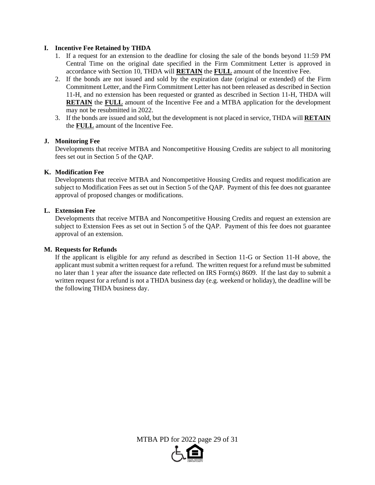## **I. Incentive Fee Retained by THDA**

- 1. If a request for an extension to the deadline for closing the sale of the bonds beyond 11:59 PM Central Time on the original date specified in the Firm Commitment Letter is approved in accordance with Section 10, THDA will **RETAIN** the **FULL** amount of the Incentive Fee.
- 2. If the bonds are not issued and sold by the expiration date (original or extended) of the Firm Commitment Letter, and the Firm Commitment Letter has not been released as described in Section 11-H, and no extension has been requested or granted as described in Section 11-H, THDA will **RETAIN** the **FULL** amount of the Incentive Fee and a MTBA application for the development may not be resubmitted in 2022.
- 3. If the bonds are issued and sold, but the development is not placed in service, THDA will **RETAIN** the **FULL** amount of the Incentive Fee.

#### **J. Monitoring Fee**

Developments that receive MTBA and Noncompetitive Housing Credits are subject to all monitoring fees set out in Section 5 of the QAP.

#### **K. Modification Fee**

Developments that receive MTBA and Noncompetitive Housing Credits and request modification are subject to Modification Fees as set out in Section 5 of the QAP. Payment of this fee does not guarantee approval of proposed changes or modifications.

## **L. Extension Fee**

Developments that receive MTBA and Noncompetitive Housing Credits and request an extension are subject to Extension Fees as set out in Section 5 of the QAP. Payment of this fee does not guarantee approval of an extension.

#### **M. Requests for Refunds**

 If the applicant is eligible for any refund as described in Section 11-G or Section 11-H above, the applicant must submit a written request for a refund. The written request for a refund must be submitted no later than 1 year after the issuance date reflected on IRS Form(s) 8609. If the last day to submit a written request for a refund is not a THDA business day (e.g. weekend or holiday), the deadline will be the following THDA business day.

MTBA PD for 2022 page 29 of 31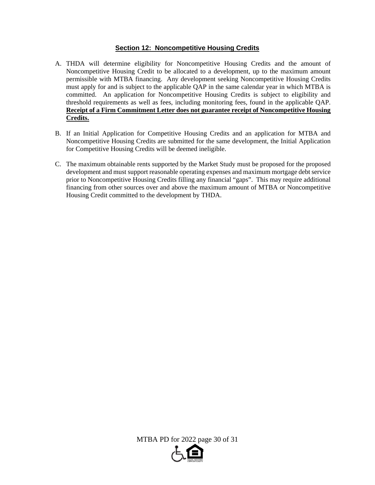## **Section 12: Noncompetitive Housing Credits**

- A. THDA will determine eligibility for Noncompetitive Housing Credits and the amount of Noncompetitive Housing Credit to be allocated to a development, up to the maximum amount permissible with MTBA financing. Any development seeking Noncompetitive Housing Credits must apply for and is subject to the applicable QAP in the same calendar year in which MTBA is committed. An application for Noncompetitive Housing Credits is subject to eligibility and threshold requirements as well as fees, including monitoring fees, found in the applicable QAP. **Receipt of a Firm Commitment Letter does not guarantee receipt of Noncompetitive Housing Credits.**
- B. If an Initial Application for Competitive Housing Credits and an application for MTBA and Noncompetitive Housing Credits are submitted for the same development, the Initial Application for Competitive Housing Credits will be deemed ineligible.
- C. The maximum obtainable rents supported by the Market Study must be proposed for the proposed development and must support reasonable operating expenses and maximum mortgage debt service prior to Noncompetitive Housing Credits filling any financial "gaps". This may require additional financing from other sources over and above the maximum amount of MTBA or Noncompetitive Housing Credit committed to the development by THDA.